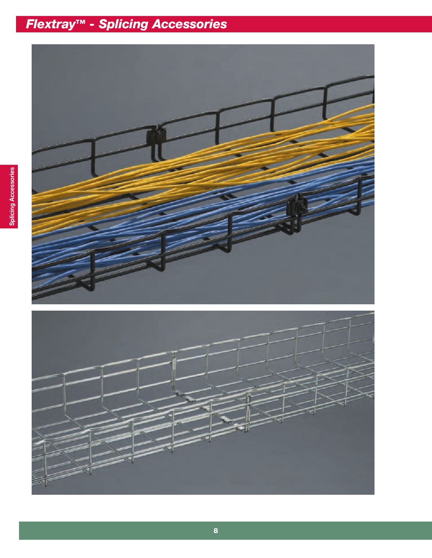

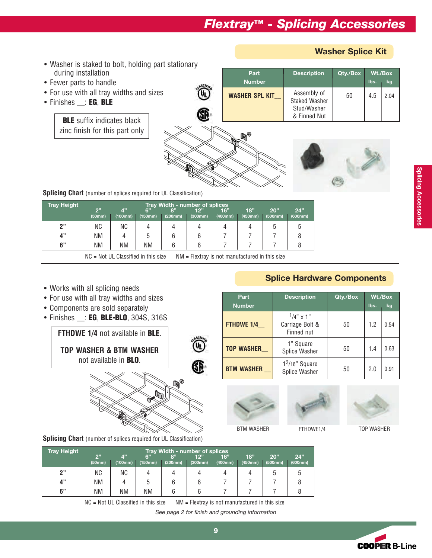**Part Description Qty./Box Wt./Box Number lbs. kg**

**WASHER SPL KIT\_\_**  $\begin{array}{|c|c|c|c|c|} \hline \text{Assembly of} & 50 & 4.5 & 2.04 \hline \end{array}$ Staked Washer Stud/Washer & Finned Nut

- Washer is staked to bolt, holding part stationary during installation
- Fewer parts to handle
- For use with all tray widths and sizes

**BLE** suffix indicates black zinc finish for this part only

• Finishes \_\_: **EG**, **BLE**

6 q



**Washer Splice Kit**

**Splicing Chart** (number of splices required for UL Classification)

| <b>Tray Height</b> |              | <b>Tray Width - number of splices</b> |               |               |                |                |                |                |                |  |  |
|--------------------|--------------|---------------------------------------|---------------|---------------|----------------|----------------|----------------|----------------|----------------|--|--|
|                    | 2"<br>(50mm) | 4"<br>(100mm)                         | 6"<br>(150mm) | 8"<br>(200mm) | 12"<br>(300mm) | 16"<br>(400mm) | 18"<br>(450mm) | 20"<br>(500mm) | 24"<br>(600mm) |  |  |
| 2"                 | ΝC           | ΝC                                    |               |               |                |                |                | ე              |                |  |  |
| 4"                 | ΝM           |                                       | G             | 6             | b              |                |                |                |                |  |  |
| 6"                 | ΝM           | <b>NM</b>                             | ΝM            | h             |                |                |                |                |                |  |  |

 $NC = Not UL$  Classified in this size  $NM = F$ lextray is not manufactured in this size

- Works with all splicing needs
- For use with all tray widths and sizes
- Components are sold separately
- Finishes \_\_: **EG**, **BLE-BLO**, 304S, 316S

**FTHDWE 1/4** not available in **BLE**. **TOP WASHER & BTM WASHER** not available in **BLO**.



**Splicing Chart** (number of splices required for UL Classification)





**Splice Hardware Components**

**Part Description Qty./Box Wt./Box Number l**bs. kg

**TOP WASHER\_\_** 1" Square 50 1.4 0.63

**BTM WASHER**  $\begin{bmatrix} 1^{3/16} & \text{Square} \\ \text{Spline Washer} \end{bmatrix}$  50  $\begin{bmatrix} 2.0 & 0.91 \end{bmatrix}$ 

 $1/4$ " x 1" **FTHDWE 1/4\_\_** Carriage Bolt & 50 1.2 0.54 Finned nut

BTM WASHER FTHDWE1/4 TOP WASHER

| <b>Tray Height</b> |              | Tray Width - number of splices |               |               |                |                |                |                |                |  |  |
|--------------------|--------------|--------------------------------|---------------|---------------|----------------|----------------|----------------|----------------|----------------|--|--|
|                    | 2"<br>(50mm) | $A$ <sup>13</sup><br>(100mm)   | 6"<br>(150mm) | 8"<br>(200mm) | 12"<br>(300mm) | 16"<br>(400mm) | 18"<br>(450mm) | 20"<br>(500mm) | 24"<br>(600mm) |  |  |
| יי פ               | ΝC           | ΝC                             |               |               |                |                |                |                | ა              |  |  |
| 4"                 | ΝM           |                                |               | b             |                |                |                |                |                |  |  |
| 6"                 | ΝM           | ΝM                             | <b>NM</b>     |               |                |                |                |                |                |  |  |

 $NC = Not UL$  Classified in this size  $NM = F$ lextray is not manufactured in this size

*See page 2 for finish and grounding information* 

**Splicing Accessories Splicing Accessories**

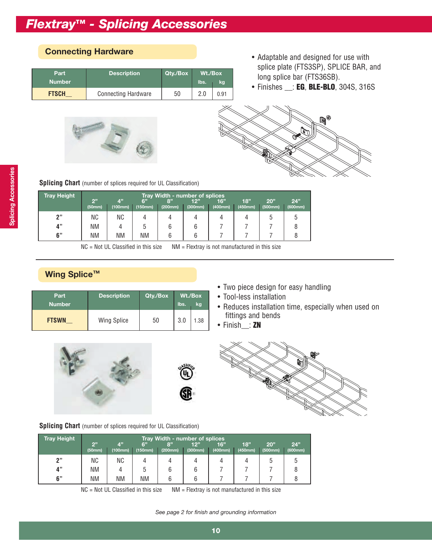| Part<br><b>Number</b> | <b>Description</b>         | Qty./Box |  |      |  |
|-----------------------|----------------------------|----------|--|------|--|
| <b>FTSCH</b>          | <b>Connecting Hardware</b> | 50       |  | 0.91 |  |

# E B

- **Connecting Hardware Connecting Hardware Adaptable and designed for use with** splice plate (FTS3SP), SPLICE BAR, and long splice bar (FTS36SB).
	- Finishes \_\_: **EG**, **BLE-BLO**, 304S, 316S



|  |  |  |  | <b>Splicing Chart</b> (number of splices required for UL Classification) |  |
|--|--|--|--|--------------------------------------------------------------------------|--|
|  |  |  |  |                                                                          |  |

| <b>Tray Height</b> |              | Tray Width - number of splices         |               |               |                |                |                |                |                |  |  |  |
|--------------------|--------------|----------------------------------------|---------------|---------------|----------------|----------------|----------------|----------------|----------------|--|--|--|
|                    | 2"<br>(50mm) | $\mathbf{A}^{\prime\prime}$<br>(100mm) | 6"<br>(150mm) | 8"<br>(200mm) | 12"<br>(300mm) | 16"<br>(400mm) | 18"<br>(450mm) | 20"<br>(500mm) | 24"<br>(600mm) |  |  |  |
| יי פ               | ΝC           | ΝC                                     |               |               |                |                |                | 5              |                |  |  |  |
| 4"                 | ΝM           |                                        | 5             | 6             |                |                |                |                |                |  |  |  |
| 6"                 | <b>NM</b>    | <b>NM</b>                              | <b>NM</b>     |               |                |                |                |                |                |  |  |  |

NC = Not UL Classified in this size NM = Flextray is not manufactured in this size

# **Wing Splice™**

| Part<br><b>Number</b> | <b>Description</b> | Qty./Box | Wt./Box<br>lbs.<br>kg |      |
|-----------------------|--------------------|----------|-----------------------|------|
| <b>FTSWN</b>          | <b>Wing Splice</b> | 50       | 3.0                   | 1.38 |

- Two piece design for easy handling
- Tool-less installation
- Reduces installation time, especially when used on fittings and bends
- Finish\_\_: **ZN**







**Splicing Chart** (number of splices required for UL Classification)

| <b>Tray Height</b> |              | Tray Width - number of splices |               |               |                |                |                |                |                |  |  |
|--------------------|--------------|--------------------------------|---------------|---------------|----------------|----------------|----------------|----------------|----------------|--|--|
|                    | 2"<br>(50mm) | 4"<br>(100mm)                  | 6"<br>(150mm) | 8"<br>(200mm) | 12"<br>(300mm) | 16"<br>(400mm) | 18"<br>(450mm) | 20"<br>(500mm) | 24"<br>(600mm) |  |  |
| "?                 | ΝC           | ΝC                             |               |               |                |                |                | b              | w              |  |  |
| 4"                 | ΝM           | 4                              |               | b             |                |                |                |                |                |  |  |
| 6"                 | ΝM           | ΝM                             | ΝM            | h             | h              |                |                |                |                |  |  |

 $NC = Not UL$  Classified in this size  $NM = F$ lextray is not manufactured in this size

*See page 2 for finish and grounding information*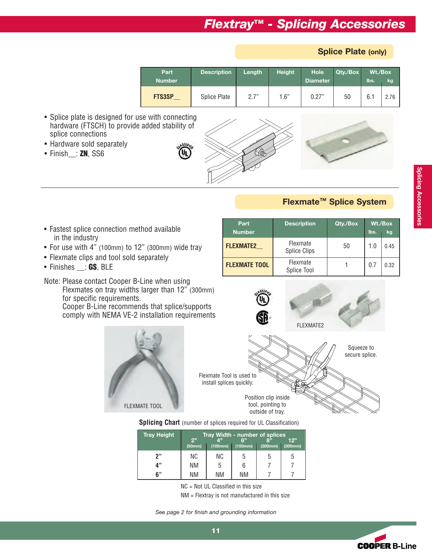**Splice Plate (only)**

| Part<br><b>Number</b> | <b>Description</b> | Length | <b>Height</b> | Hole<br><b>Diameter</b> | Qty./Box | Wt./Box<br>lbs. | kg   |
|-----------------------|--------------------|--------|---------------|-------------------------|----------|-----------------|------|
| <b>FTS3SP</b>         | Splice Plate       | 2.7"   | 1.6"          | 0.27"                   | 50       | 6.1             | 2.76 |

- Splice plate is designed for use with connecting hardware (FTSCH) to provide added stability of splice connections
- Hardware sold separately
- Finish\_\_: **ZN**, SS6



### **Flexmate™ Splice System**

**Part Description Qty./Box Wt./Box Number lbs.** kg **FLEXMATE2\_\_** Flexmate <sup>50</sup> 1.0 0.45 Splice Clips

**FLEXMATE TOOL** Flexmate  $\begin{array}{ccc} 1 & 0.7 & 0.32 \end{array}$ Splice Tool

- Fastest splice connection method available in the industry
- For use with 4" (100mm) to 12" (300mm) wide tray
- Flexmate clips and tool sold separately
- Finishes \_\_: **GS**, BLE

Note: Please contact Cooper B-Line when using Flexmates on tray widths larger than 12" (300mm) for specific requirements. Cooper B-Line recommends that splice/supports comply with NEMA VE-2 installation requirements





#### **Splicing Chart** (number of splices required for UL Classification)

| <b>Tray Height</b> | 2" | Tray Width - number of splices<br>A"<br>ድ"<br>12"<br>(100mm)<br>(150mm)<br>(200mm)<br>(300mm)<br>(50mm) |    |   |   |  |  |  |  |
|--------------------|----|---------------------------------------------------------------------------------------------------------|----|---|---|--|--|--|--|
| 2"                 | ΝC | ΝC                                                                                                      |    | b | b |  |  |  |  |
| 4"                 | ΝM | b                                                                                                       |    |   |   |  |  |  |  |
| 6"                 | ΝM | ΝM                                                                                                      | ΝM |   |   |  |  |  |  |

NC = Not UL Classified in this size

NM = Flextray is not manufactured in this size

*See page 2 for finish and grounding information* 



**Splicing Accessories**

**Splicing Accessories** 

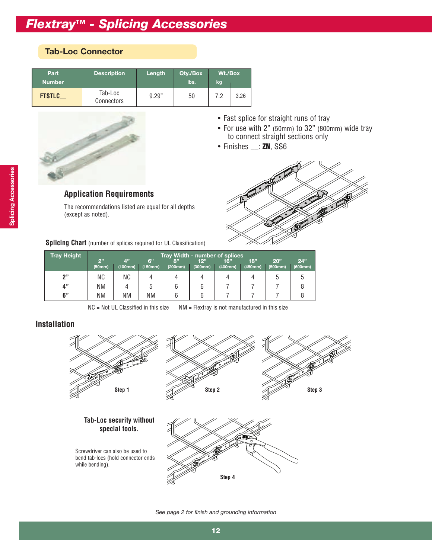### **Tab-Loc Connector**

| Part<br><b>Number</b> | <b>Description</b>    | Length | Qty./Box<br>lbs. | Wt./Box<br>kg |      |
|-----------------------|-----------------------|--------|------------------|---------------|------|
| <b>FTSTLC</b>         | Tab-Loc<br>Connectors | 9.29"  | 50               | 7.2           | 3.26 |



#### • Fast splice for straight runs of tray

- For use with 2" (50mm) to 32" (800mm) wide tray to connect straight sections only
- Finishes \_\_: **ZN**, SS6



**Application Requirements** 

The recommendations listed are equal for all depths (except as noted).

**Splicing Chart** (number of splices required for UL Classification)

| <b>Tray Height</b> | 2"        | Tray Width - number of splices<br>4"<br>24"<br>6"<br>18"<br>12"<br>20"<br>8"<br>16"<br>(200mm)<br>(400mm)<br>(300mm)<br>(450mm)<br>(500mm)<br>(100mm)<br>(600mm)<br>(150mm)<br>(50mm) |    |   |   |  |  |   |   |  |  |  |
|--------------------|-----------|---------------------------------------------------------------------------------------------------------------------------------------------------------------------------------------|----|---|---|--|--|---|---|--|--|--|
|                    |           |                                                                                                                                                                                       |    |   |   |  |  |   |   |  |  |  |
| 2"                 | ΝC        | ΝC                                                                                                                                                                                    |    |   |   |  |  | b | 5 |  |  |  |
| 4"                 | <b>NM</b> | 4                                                                                                                                                                                     | b  | 6 | 6 |  |  |   |   |  |  |  |
| 6"                 | <b>NM</b> | <b>NM</b>                                                                                                                                                                             | ΝM | 6 | b |  |  |   |   |  |  |  |

 $NC = Not UL$  Classified in this size  $NM = F$ lextray is not manufactured in this size

### **Installation**



*See page 2 for finish and grounding information*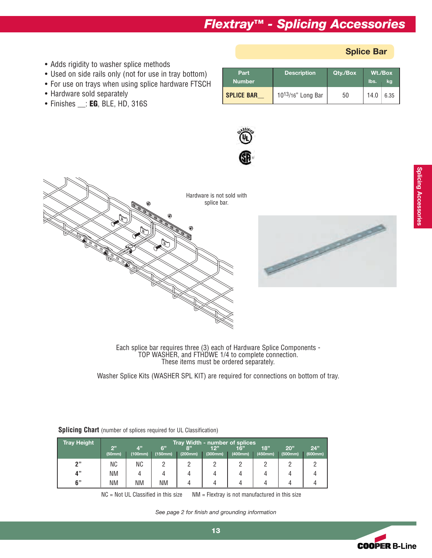#### **Splice Bar**

- Adds rigidity to washer splice methods
- Used on side rails only (not for use in tray bottom)
- For use on trays when using splice hardware FTSCH
- Hardware sold separately
- Finishes \_\_: **EG**, BLE, HD, 316S

| Part<br><b>Number</b> | <b>Description</b>      | Qty./Box | lbs. | Wt./Box<br>kg |
|-----------------------|-------------------------|----------|------|---------------|
| <b>SPLICE BAR</b>     | $10^{13}/16$ " Long Bar | 50       | 14.0 | 6.35          |







Each splice bar requires three (3) each of Hardware Splice Components - TOP WASHER, and FTHDWE 1/4 to complete connection. These items must be ordered separately.

Washer Splice Kits (WASHER SPL KIT) are required for connections on bottom of tray.

| <b>Tray Height</b> |              |                                      |               |               | Tray Width - number of splices |                |                |                |                |  |
|--------------------|--------------|--------------------------------------|---------------|---------------|--------------------------------|----------------|----------------|----------------|----------------|--|
|                    | 2"<br>(50mm) | $\mathbf{A}^{\mathbf{y}}$<br>(100mm) | 6"<br>(150mm) | 8"<br>(200mm) | 12"<br>(300mm)                 | 16"<br>(400mm) | 18"<br>(450mm) | 20"<br>(500mm) | 24"<br>(600mm) |  |
| "?                 | ΝC           | ΝC                                   |               |               |                                |                |                |                |                |  |
| 4"                 | ΝM           |                                      |               |               |                                |                |                |                |                |  |
| 6"                 | <b>NM</b>    | ΝM                                   | <b>NM</b>     |               |                                |                |                |                |                |  |

**Splicing Chart** (number of splices required for UL Classification)

 $NC = Not UL$  Classified in this size  $NM =$  Flextray is not manufactured in this size

*See page 2 for finish and grounding information* 

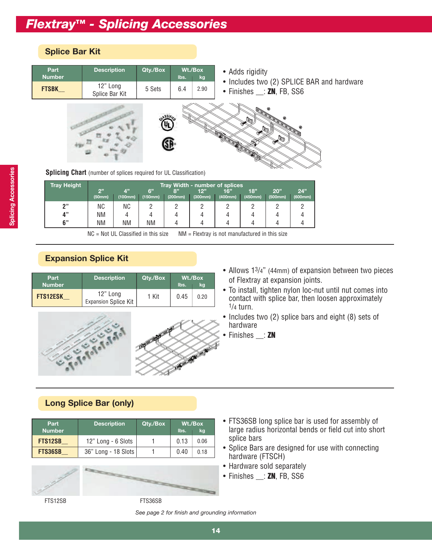### **Splice Bar Kit**



**Splicing Chart** (number of splices required for UL Classification)

| <b>Tray Height</b> | Tray Width - number of splices |           |         |         |         |         |         |         |         |  |
|--------------------|--------------------------------|-----------|---------|---------|---------|---------|---------|---------|---------|--|
|                    | 2"                             | 4"        | 6"      | 8"      | 12"     | 16"     | 18"     | 20"     | 24"     |  |
|                    | (50mm)                         | (100mm)   | (150mm) | (200mm) | (300mm) | (400mm) | (450mm) | (500mm) | (600mm) |  |
| יי מ               | ΝC                             | <b>NC</b> | C       |         |         |         |         |         |         |  |
| 4"                 | <b>NM</b>                      |           | 4       |         |         |         |         |         |         |  |
| 6"                 | <b>NM</b>                      | ΝM        | ΝM      |         |         |         |         |         |         |  |

 $NC = Not UL$  Classified in this size  $NM = F$ lextray is not manufactured in this size

### **Expansion Splice Kit**

| Part<br><b>Number</b> | <b>Description</b>                      | Qty./Box | lbs. | Wt./Box<br>kq |
|-----------------------|-----------------------------------------|----------|------|---------------|
| <b>FTS12ESK</b>       | 12" Long<br><b>Expansion Splice Kit</b> | 1 Kit    | 0.45 | 0.20          |



- Allows 13/4" (44mm) of expansion between two pieces of Flextray at expansion joints.
- To install, tighten nylon loc-nut until nut comes into contact with splice bar, then loosen approximately 1/4 turn.
- Includes two (2) splice bars and eight (8) sets of hardware
	- Finishes \_\_: **ZN**

### **Long Splice Bar (only)**

| Part<br><b>Number</b> | <b>Description</b>  | Qty./Box | Wt./Box<br>lbs.<br>kg |      |  |
|-----------------------|---------------------|----------|-----------------------|------|--|
| <b>FTS12SB</b>        | 12" Long - 6 Slots  |          | 0.13                  | 0.06 |  |
| <b>FTS36SB</b>        | 36" Long - 18 Slots |          | 0.40                  | 0.18 |  |





- FTS36SB long splice bar is used for assembly of large radius horizontal bends or field cut into short splice bars
- Splice Bars are designed for use with connecting hardware (FTSCH)
- Hardware sold separately
- Finishes \_\_: **ZN**, FB, SS6

FTS12SB FTS36SB

*See page 2 for finish and grounding information*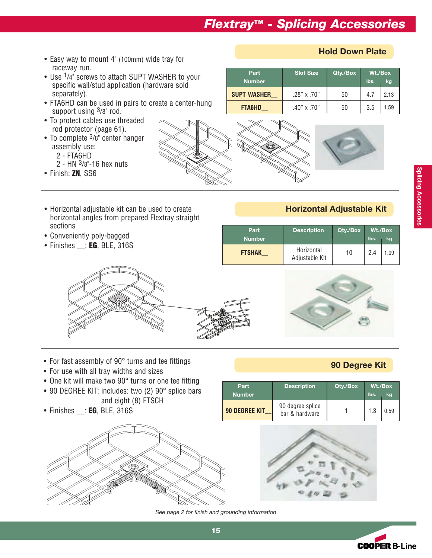- Easy way to mount 4" (100mm) wide tray for raceway run.
- Use <sup>1</sup>/4" screws to attach SUPT WASHER to your specific wall/stud application (hardware sold separately).
- FTA6HD can be used in pairs to create a center-hung support using  $3/8$ " rod.
- To protect cables use threaded rod protector (page 61).
- To complete  $3/8$ " center hanger assembly use:
	- 2 FTA6HD
	- 2 HN 3/8"-16 hex nuts
- Finish: **ZN**, SS6

**Hold Down Plate**

| Part<br>Number     | <b>Slot Size</b>   | Qty./Box | Wt./Box<br>lbs.<br>kg |      |  |
|--------------------|--------------------|----------|-----------------------|------|--|
| <b>SUPT WASHER</b> | $.28" \times .70"$ | 50       | 4.7                   | 2.13 |  |
| <b>FTA6HD</b>      | $.40" \times .70"$ | 50       | 3.5                   | 1.59 |  |

- Horizontal adjustable kit can be used to create **Horizontal Adjustable Kit** horizontal angles from prepared Flextray straight sections
- Conveniently poly-bagged
- Finishes \_\_: **EG**, BLE, 316S

| Part<br><b>Number</b> | <b>Description</b>           | Qty./Box | lbs. | Wt./Box<br>kg |
|-----------------------|------------------------------|----------|------|---------------|
| <b>FTSHAK</b>         | Horizontal<br>Adjustable Kit | 10       | 2.4  | 1.09          |



- **90 Degree Kit** For fast assembly of 90° turns and tee fittings
- For use with all tray widths and sizes
- One kit will make two 90° turns or one tee fitting
- 90 DEGREE KIT: includes: two (2) 90° splice bars
- and eight (8) FTSCH • Finishes \_\_: **EG**, BLE, 316S



| Part<br><b>Number</b> | <b>Description</b>                 | Qty./Box | lbs. | Wt./Box<br>kg |
|-----------------------|------------------------------------|----------|------|---------------|
| <b>90 DEGREE KIT</b>  | 90 degree splice<br>bar & hardware |          | 1.3  | 0.59          |



*See page 2 for finish and grounding information* 



**15**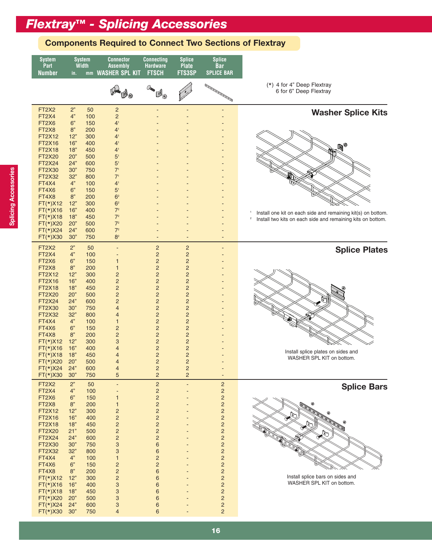#### **Components Required to Connect Two Sections of Flextray**